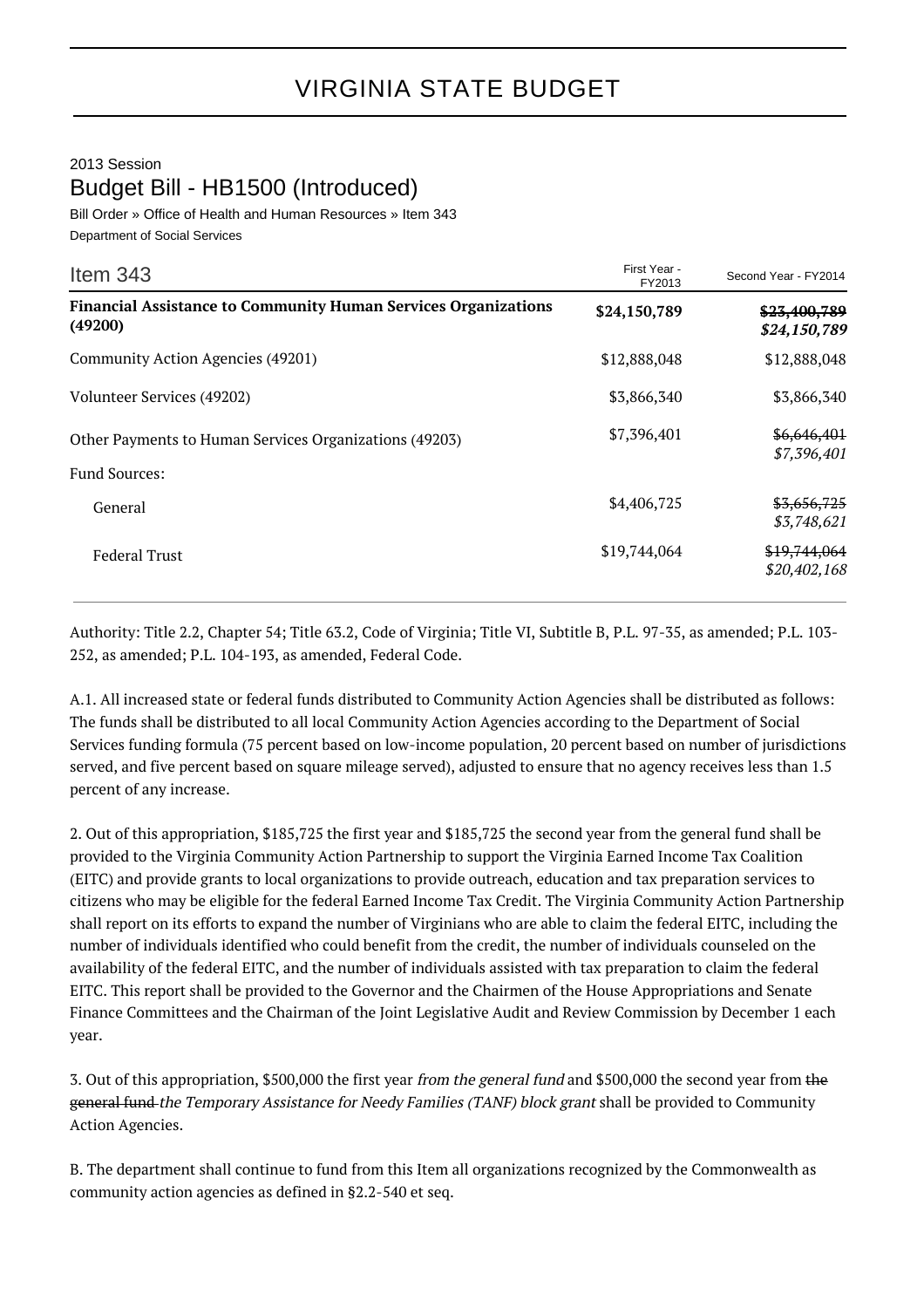## 2013 Session Budget Bill - HB1500 (Introduced)

Bill Order » Office of Health and Human Resources » Item 343 Department of Social Services

| Item $343$                                                                       | First Year -<br>FY2013 | Second Year - FY2014         |
|----------------------------------------------------------------------------------|------------------------|------------------------------|
| <b>Financial Assistance to Community Human Services Organizations</b><br>(49200) | \$24,150,789           | \$23,400,789<br>\$24,150,789 |
| Community Action Agencies (49201)                                                | \$12,888,048           | \$12,888,048                 |
| Volunteer Services (49202)                                                       | \$3,866,340            | \$3,866,340                  |
| Other Payments to Human Services Organizations (49203)<br><b>Fund Sources:</b>   | \$7,396,401            | \$6,646,401<br>\$7,396,401   |
| General                                                                          | \$4,406,725            | \$3,656,725<br>\$3,748,621   |
| <b>Federal Trust</b>                                                             | \$19,744,064           | \$19,744,064<br>\$20,402,168 |

Authority: Title 2.2, Chapter 54; Title 63.2, Code of Virginia; Title VI, Subtitle B, P.L. 97-35, as amended; P.L. 103- 252, as amended; P.L. 104-193, as amended, Federal Code.

A.1. All increased state or federal funds distributed to Community Action Agencies shall be distributed as follows: The funds shall be distributed to all local Community Action Agencies according to the Department of Social Services funding formula (75 percent based on low-income population, 20 percent based on number of jurisdictions served, and five percent based on square mileage served), adjusted to ensure that no agency receives less than 1.5 percent of any increase.

2. Out of this appropriation, \$185,725 the first year and \$185,725 the second year from the general fund shall be provided to the Virginia Community Action Partnership to support the Virginia Earned Income Tax Coalition (EITC) and provide grants to local organizations to provide outreach, education and tax preparation services to citizens who may be eligible for the federal Earned Income Tax Credit. The Virginia Community Action Partnership shall report on its efforts to expand the number of Virginians who are able to claim the federal EITC, including the number of individuals identified who could benefit from the credit, the number of individuals counseled on the availability of the federal EITC, and the number of individuals assisted with tax preparation to claim the federal EITC. This report shall be provided to the Governor and the Chairmen of the House Appropriations and Senate Finance Committees and the Chairman of the Joint Legislative Audit and Review Commission by December 1 each year.

3. Out of this appropriation, \$500,000 the first year from the general fund and \$500,000 the second year from the general fund the Temporary Assistance for Needy Families (TANF) block grant shall be provided to Community Action Agencies.

B. The department shall continue to fund from this Item all organizations recognized by the Commonwealth as community action agencies as defined in §2.2-540 et seq.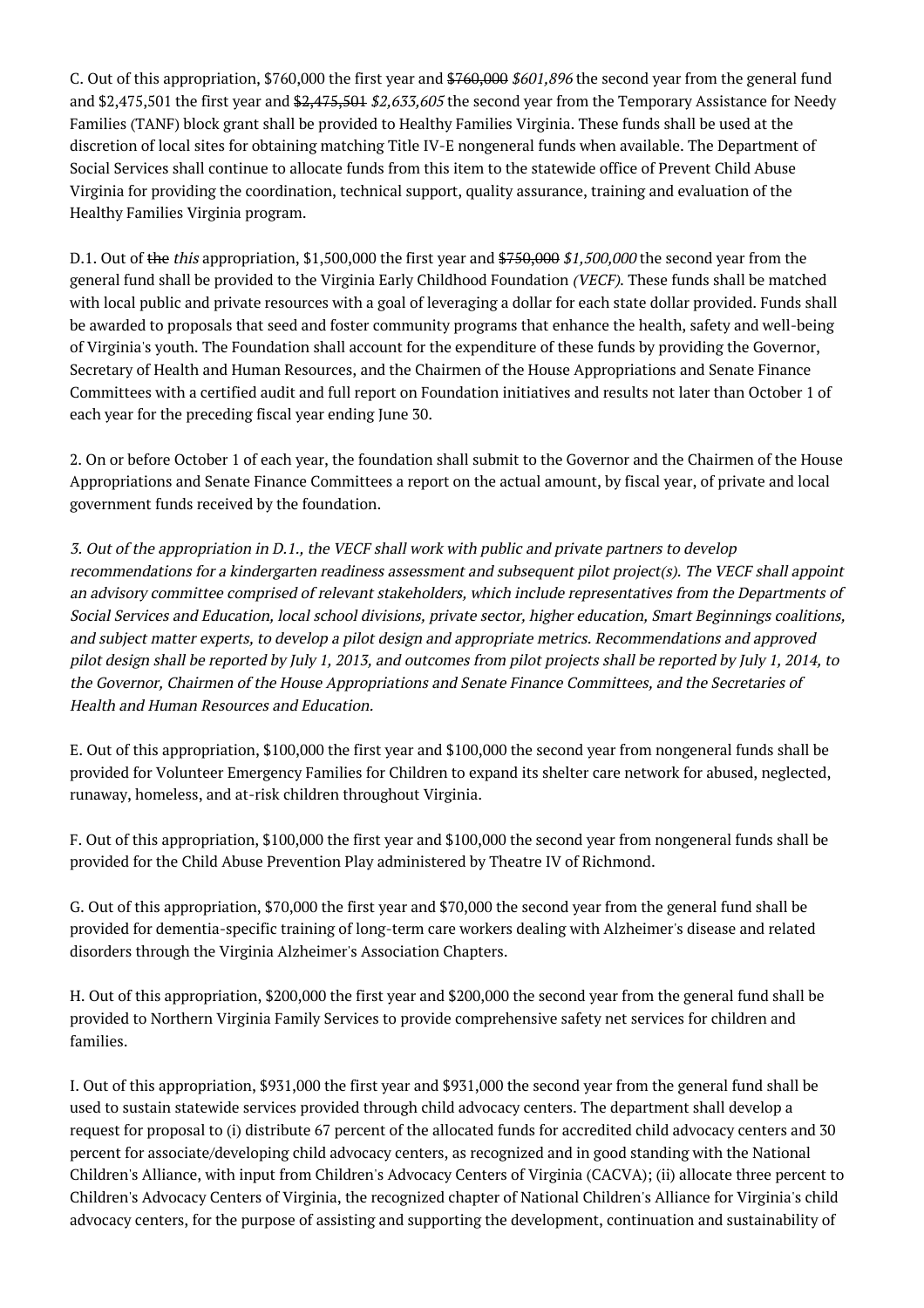C. Out of this appropriation, \$760,000 the first year and \$760,000 \$601,896 the second year from the general fund and \$2,475,501 the first year and \$2,475,501 \$2,633,605 the second year from the Temporary Assistance for Needy Families (TANF) block grant shall be provided to Healthy Families Virginia. These funds shall be used at the discretion of local sites for obtaining matching Title IV-E nongeneral funds when available. The Department of Social Services shall continue to allocate funds from this item to the statewide office of Prevent Child Abuse Virginia for providing the coordination, technical support, quality assurance, training and evaluation of the Healthy Families Virginia program.

D.1. Out of the this appropriation, \$1,500,000 the first year and  $$750,000 $1,500,000$  the second year from the general fund shall be provided to the Virginia Early Childhood Foundation (VECF). These funds shall be matched with local public and private resources with a goal of leveraging a dollar for each state dollar provided. Funds shall be awarded to proposals that seed and foster community programs that enhance the health, safety and well-being of Virginia's youth. The Foundation shall account for the expenditure of these funds by providing the Governor, Secretary of Health and Human Resources, and the Chairmen of the House Appropriations and Senate Finance Committees with a certified audit and full report on Foundation initiatives and results not later than October 1 of each year for the preceding fiscal year ending June 30.

2. On or before October 1 of each year, the foundation shall submit to the Governor and the Chairmen of the House Appropriations and Senate Finance Committees a report on the actual amount, by fiscal year, of private and local government funds received by the foundation.

3. Out of the appropriation in D.1., the VECF shall work with public and private partners to develop recommendations for a kindergarten readiness assessment and subsequent pilot project(s). The VECF shall appoint an advisory committee comprised of relevant stakeholders, which include representatives from the Departments of Social Services and Education, local school divisions, private sector, higher education, Smart Beginnings coalitions, and subject matter experts, to develop a pilot design and appropriate metrics. Recommendations and approved pilot design shall be reported by July 1, 2013, and outcomes from pilot projects shall be reported by July 1, 2014, to the Governor, Chairmen of the House Appropriations and Senate Finance Committees, and the Secretaries of Health and Human Resources and Education.

E. Out of this appropriation, \$100,000 the first year and \$100,000 the second year from nongeneral funds shall be provided for Volunteer Emergency Families for Children to expand its shelter care network for abused, neglected, runaway, homeless, and at-risk children throughout Virginia.

F. Out of this appropriation, \$100,000 the first year and \$100,000 the second year from nongeneral funds shall be provided for the Child Abuse Prevention Play administered by Theatre IV of Richmond.

G. Out of this appropriation, \$70,000 the first year and \$70,000 the second year from the general fund shall be provided for dementia-specific training of long-term care workers dealing with Alzheimer's disease and related disorders through the Virginia Alzheimer's Association Chapters.

H. Out of this appropriation, \$200,000 the first year and \$200,000 the second year from the general fund shall be provided to Northern Virginia Family Services to provide comprehensive safety net services for children and families.

I. Out of this appropriation, \$931,000 the first year and \$931,000 the second year from the general fund shall be used to sustain statewide services provided through child advocacy centers. The department shall develop a request for proposal to (i) distribute 67 percent of the allocated funds for accredited child advocacy centers and 30 percent for associate/developing child advocacy centers, as recognized and in good standing with the National Children's Alliance, with input from Children's Advocacy Centers of Virginia (CACVA); (ii) allocate three percent to Children's Advocacy Centers of Virginia, the recognized chapter of National Children's Alliance for Virginia's child advocacy centers, for the purpose of assisting and supporting the development, continuation and sustainability of